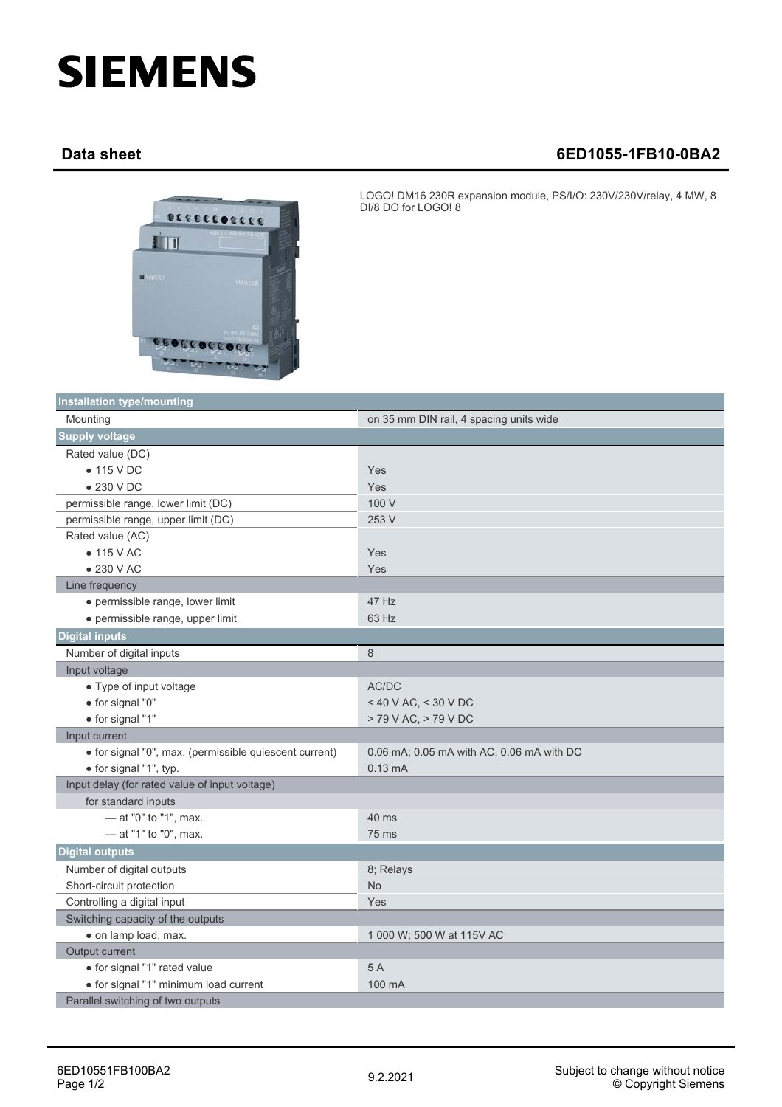## **SIEMENS**

## **Data sheet 6ED1055-1FB10-0BA2**



LOGO! DM16 230R expansion module, PS/I/O: 230V/230V/relay, 4 MW, 8 DI/8 DO for LOGO! 8

| <b>Installation type/mounting</b>                      |                                           |
|--------------------------------------------------------|-------------------------------------------|
| Mounting                                               | on 35 mm DIN rail, 4 spacing units wide   |
| <b>Supply voltage</b>                                  |                                           |
| Rated value (DC)                                       |                                           |
| $\bullet$ 115 V DC                                     | Yes                                       |
| $\bullet$ 230 V DC                                     | Yes                                       |
| permissible range, lower limit (DC)                    | 100 V                                     |
| permissible range, upper limit (DC)                    | 253 V                                     |
| Rated value (AC)                                       |                                           |
| $\bullet$ 115 V AC                                     | Yes                                       |
| $\bullet$ 230 V AC                                     | Yes                                       |
| Line frequency                                         |                                           |
| · permissible range, lower limit                       | 47 Hz                                     |
| · permissible range, upper limit                       | 63 Hz                                     |
| <b>Digital inputs</b>                                  |                                           |
| Number of digital inputs                               | 8                                         |
| Input voltage                                          |                                           |
| • Type of input voltage                                | AC/DC                                     |
| • for signal "0"                                       | < 40 V AC, < 30 V DC                      |
| · for signal "1"                                       | > 79 V AC, > 79 V DC                      |
| Input current                                          |                                           |
| · for signal "0", max. (permissible quiescent current) | 0.06 mA; 0.05 mA with AC, 0.06 mA with DC |
| · for signal "1", typ.                                 | $0.13 \text{ mA}$                         |
| Input delay (for rated value of input voltage)         |                                           |
| for standard inputs                                    |                                           |
| $-$ at "0" to "1", max.                                | 40 ms                                     |
| - at "1" to "0", max.                                  | 75 ms                                     |
| <b>Digital outputs</b>                                 |                                           |
| Number of digital outputs                              | 8; Relays                                 |
| Short-circuit protection                               | <b>No</b>                                 |
| Controlling a digital input                            | Yes                                       |
| Switching capacity of the outputs                      |                                           |
| · on lamp load, max.                                   | 1 000 W; 500 W at 115V AC                 |
| Output current                                         |                                           |
| · for signal "1" rated value                           | 5A                                        |
| · for signal "1" minimum load current                  | 100 mA                                    |
| Parallel switching of two outputs                      |                                           |